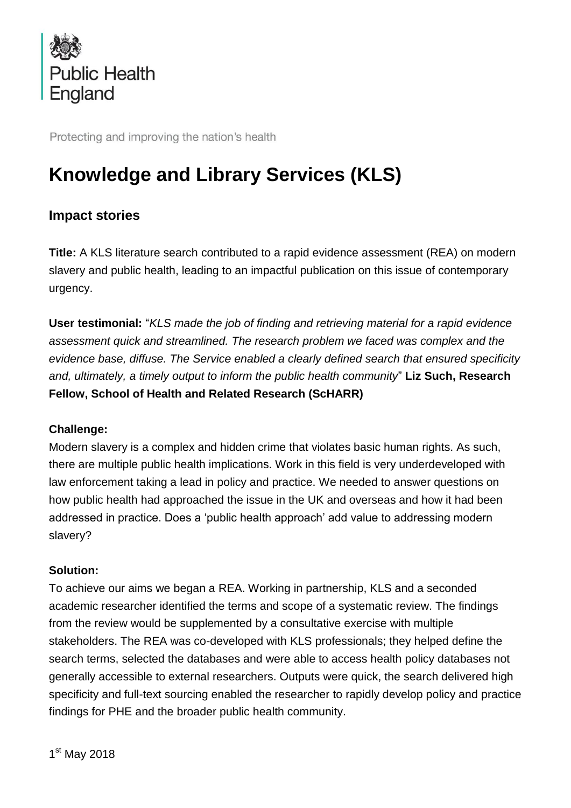

Protecting and improving the nation's health

# **Knowledge and Library Services (KLS)**

# **Impact stories**

**Title:** A KLS literature search contributed to a rapid evidence assessment (REA) on modern slavery and public health, leading to an impactful publication on this issue of contemporary urgency.

**User testimonial:** "*KLS made the job of finding and retrieving material for a rapid evidence assessment quick and streamlined. The research problem we faced was complex and the evidence base, diffuse. The Service enabled a clearly defined search that ensured specificity and, ultimately, a timely output to inform the public health community*" **Liz Such, Research Fellow, School of Health and Related Research (ScHARR)**

### **Challenge:**

Modern slavery is a complex and hidden crime that violates basic human rights. As such, there are multiple public health implications. Work in this field is very underdeveloped with law enforcement taking a lead in policy and practice. We needed to answer questions on how public health had approached the issue in the UK and overseas and how it had been addressed in practice. Does a 'public health approach' add value to addressing modern slavery?

# **Solution:**

To achieve our aims we began a REA. Working in partnership, KLS and a seconded academic researcher identified the terms and scope of a systematic review. The findings from the review would be supplemented by a consultative exercise with multiple stakeholders. The REA was co-developed with KLS professionals; they helped define the search terms, selected the databases and were able to access health policy databases not generally accessible to external researchers. Outputs were quick, the search delivered high specificity and full-text sourcing enabled the researcher to rapidly develop policy and practice findings for PHE and the broader public health community.